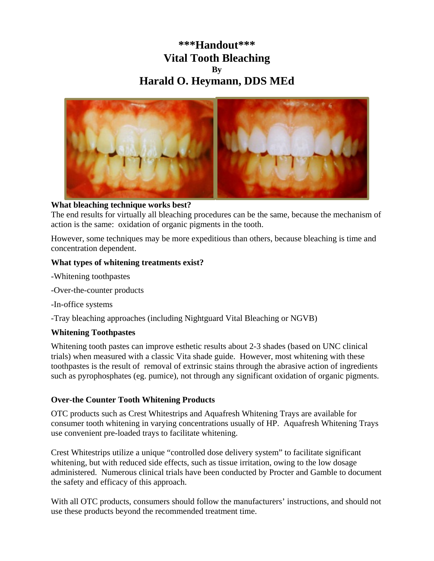# **\*\*\*Handout\*\*\* Vital Tooth Bleaching By Harald O. Heymann, DDS MEd**



## **What bleaching technique works best?**

The end results for virtually all bleaching procedures can be the same, because the mechanism of action is the same: oxidation of organic pigments in the tooth.

However, some techniques may be more expeditious than others, because bleaching is time and concentration dependent.

#### **What types of whitening treatments exist?**

- -Whitening toothpastes
- -Over-the-counter products
- -In-office systems

-Tray bleaching approaches (including Nightguard Vital Bleaching or NGVB)

#### **Whitening Toothpastes**

Whitening tooth pastes can improve esthetic results about 2-3 shades (based on UNC clinical trials) when measured with a classic Vita shade guide. However, most whitening with these toothpastes is the result of removal of extrinsic stains through the abrasive action of ingredients such as pyrophosphates (eg. pumice), not through any significant oxidation of organic pigments.

#### **Over-the Counter Tooth Whitening Products**

OTC products such as Crest Whitestrips and Aquafresh Whitening Trays are available for consumer tooth whitening in varying concentrations usually of HP. Aquafresh Whitening Trays use convenient pre-loaded trays to facilitate whitening.

Crest Whitestrips utilize a unique "controlled dose delivery system" to facilitate significant whitening, but with reduced side effects, such as tissue irritation, owing to the low dosage administered. Numerous clinical trials have been conducted by Procter and Gamble to document the safety and efficacy of this approach.

With all OTC products, consumers should follow the manufacturers' instructions, and should not use these products beyond the recommended treatment time.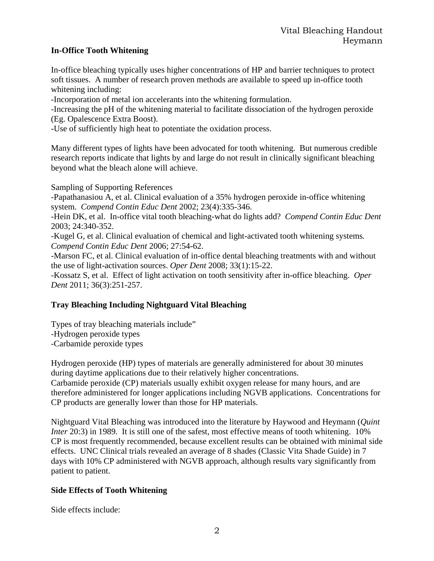# **In-Office Tooth Whitening**

In-office bleaching typically uses higher concentrations of HP and barrier techniques to protect soft tissues. A number of research proven methods are available to speed up in-office tooth whitening including:

-Incorporation of metal ion accelerants into the whitening formulation.

-Increasing the pH of the whitening material to facilitate dissociation of the hydrogen peroxide (Eg. Opalescence Extra Boost).

-Use of sufficiently high heat to potentiate the oxidation process.

Many different types of lights have been advocated for tooth whitening. But numerous credible research reports indicate that lights by and large do not result in clinically significant bleaching beyond what the bleach alone will achieve.

Sampling of Supporting References

-Papathanasiou A, et al. Clinical evaluation of a 35% hydrogen peroxide in-office whitening system. *Compend Contin Educ Dent* 2002; 23(4):335-346.

-Hein DK, et al. In-office vital tooth bleaching-what do lights add? *Compend Contin Educ Dent* 2003; 24:340-352.

-Kugel G, et al. Clinical evaluation of chemical and light-activated tooth whitening systems*. Compend Contin Educ Dent* 2006; 27:54-62.

-Marson FC, et al. Clinical evaluation of in-office dental bleaching treatments with and without the use of light-activation sources. *Oper Dent* 2008; 33(1):15-22.

-Kossatz S, et al. Effect of light activation on tooth sensitivity after in-office bleaching. *Oper Dent* 2011; 36(3):251-257.

## **Tray Bleaching Including Nightguard Vital Bleaching**

Types of tray bleaching materials include" -Hydrogen peroxide types -Carbamide peroxide types

Hydrogen peroxide (HP) types of materials are generally administered for about 30 minutes during daytime applications due to their relatively higher concentrations. Carbamide peroxide (CP) materials usually exhibit oxygen release for many hours, and are therefore administered for longer applications including NGVB applications. Concentrations for CP products are generally lower than those for HP materials.

Nightguard Vital Bleaching was introduced into the literature by Haywood and Heymann (*Quint Inter* 20:3) in 1989. It is still one of the safest, most effective means of tooth whitening. 10% CP is most frequently recommended, because excellent results can be obtained with minimal side effects. UNC Clinical trials revealed an average of 8 shades (Classic Vita Shade Guide) in 7 days with 10% CP administered with NGVB approach, although results vary significantly from patient to patient.

## **Side Effects of Tooth Whitening**

Side effects include: